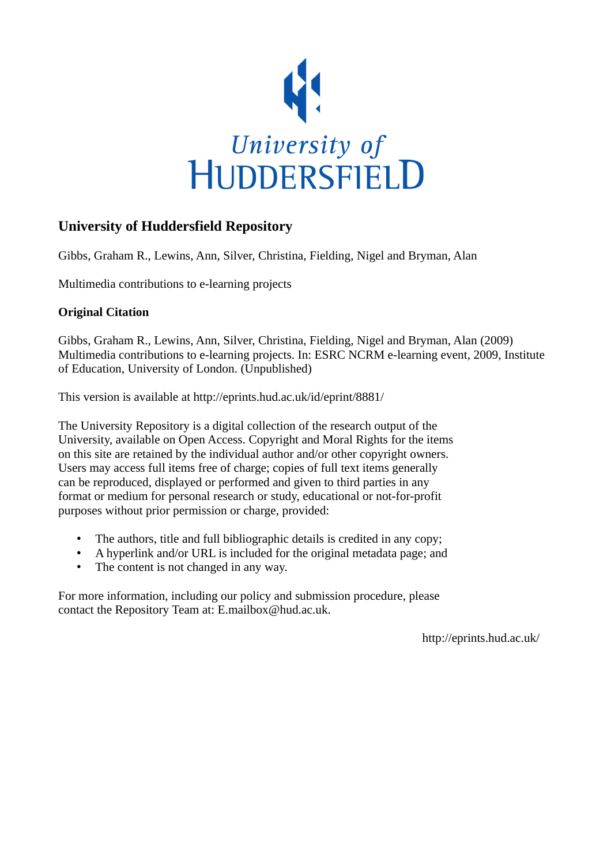

#### **University of Huddersfield Repository**

Gibbs, Graham R., Lewins, Ann, Silver, Christina, Fielding, Nigel and Bryman, Alan

Multimedia contributions to e-learning projects

#### **Original Citation**

Gibbs, Graham R., Lewins, Ann, Silver, Christina, Fielding, Nigel and Bryman, Alan (2009) Multimedia contributions to e-learning projects. In: ESRC NCRM e-learning event, 2009, Institute of Education, University of London. (Unpublished)

This version is available at http://eprints.hud.ac.uk/id/eprint/8881/

The University Repository is a digital collection of the research output of the University, available on Open Access. Copyright and Moral Rights for the items on this site are retained by the individual author and/or other copyright owners. Users may access full items free of charge; copies of full text items generally can be reproduced, displayed or performed and given to third parties in any format or medium for personal research or study, educational or not-for-profit purposes without prior permission or charge, provided:

- The authors, title and full bibliographic details is credited in any copy;
- A hyperlink and/or URL is included for the original metadata page; and
- The content is not changed in any way.

For more information, including our policy and submission procedure, please contact the Repository Team at: E.mailbox@hud.ac.uk.

http://eprints.hud.ac.uk/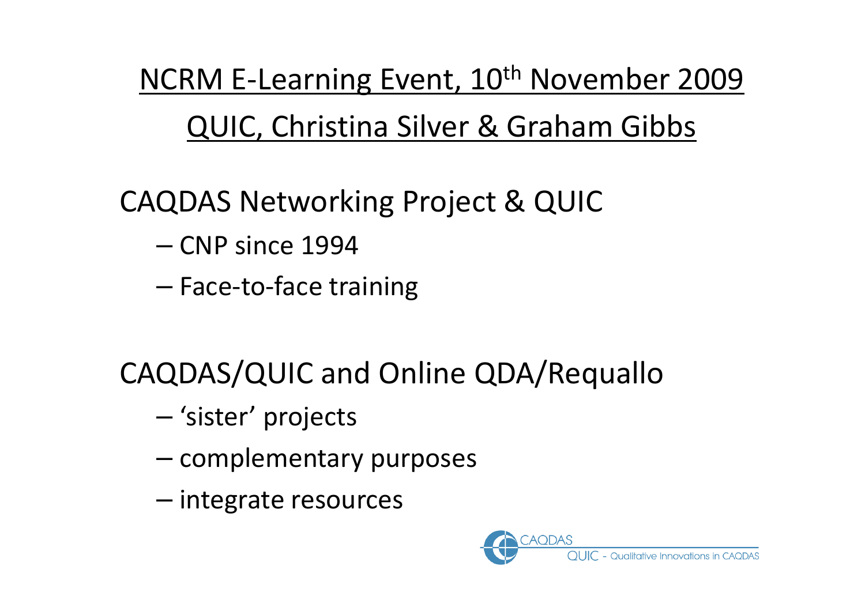NCRM E-Learning Event, 10<sup>th</sup> November 2009 QUIC, Christina Silver & Graham Gibbs

CAQDAS Networking Project & QUIC

- CNP since 1994
- Face-to-face training

CAQDAS/QUIC and Online QDA/Requallo

- 'sister' projects
- – $-$  complementary purposes
- –– integrate resources

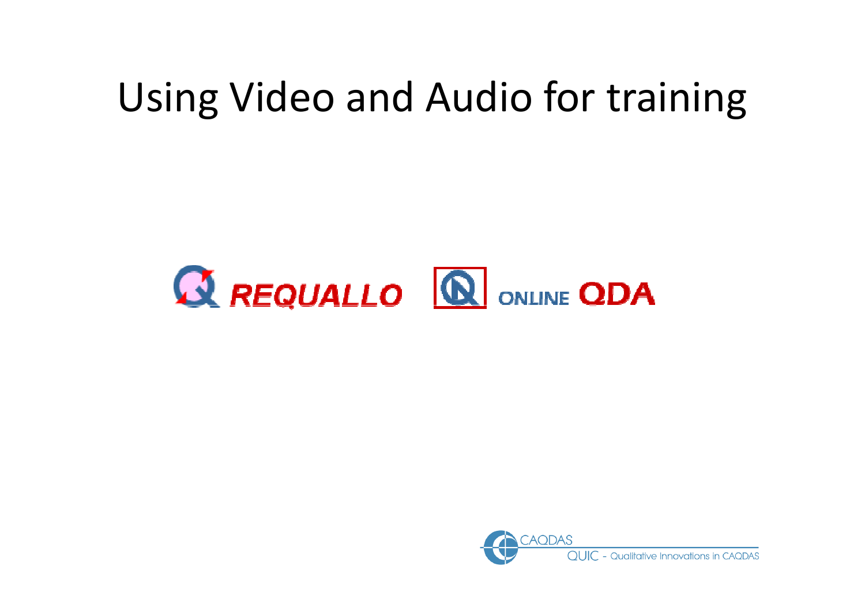#### Using Video and Audio for training



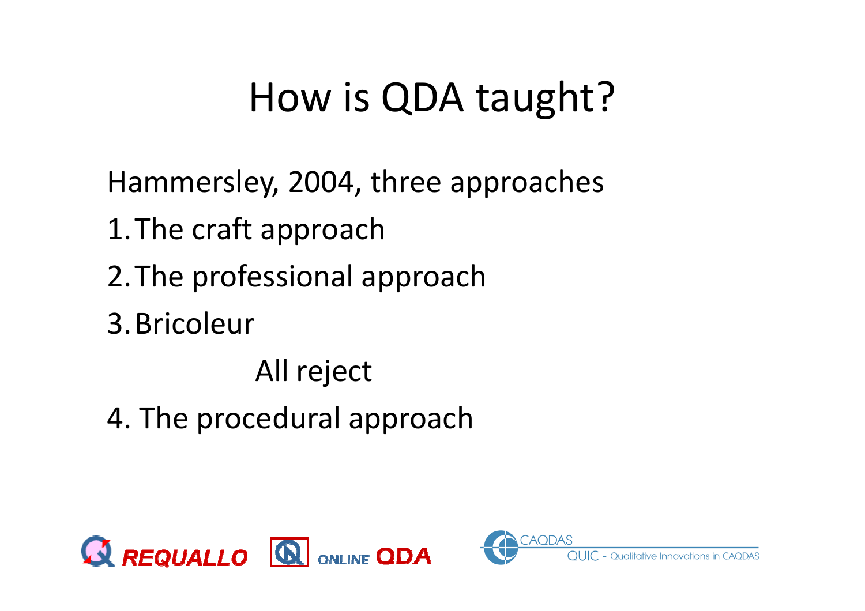#### How is QDA taught?

Hammersley, 2004, three approaches1.The craft approach2.The professional approach3.BricoleurAll reject

4. The procedural approach



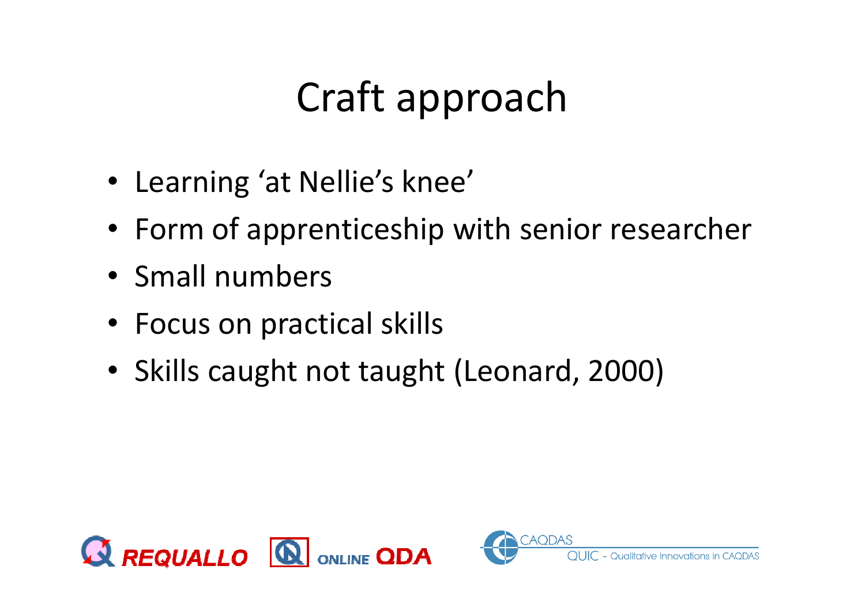# Craft approach

- Learning 'at Nellie's knee'
- Form of apprenticeship with senior researcher
- Small numbers
- Focus on practical skills
- Skills caught not taught (Leonard, 2000)



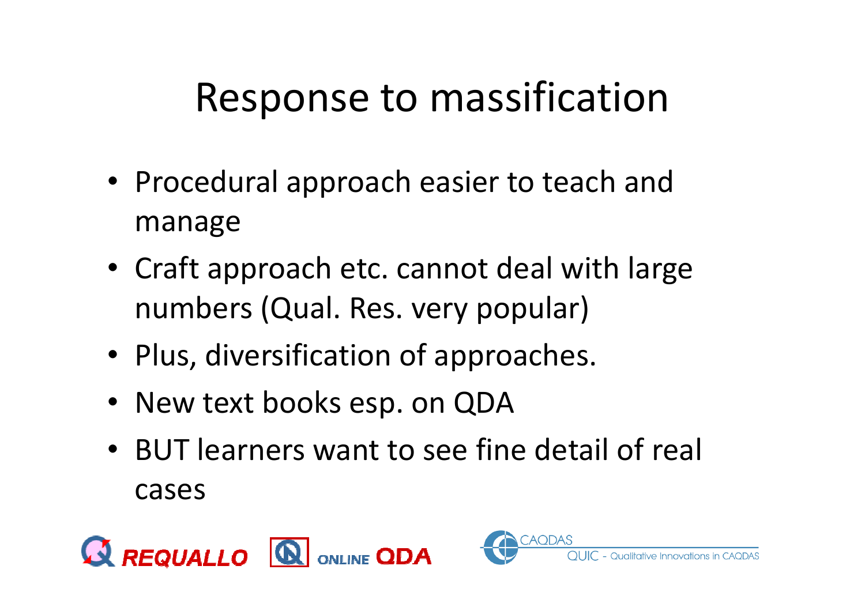#### Response to massification

- Procedural approach easier to teach and manage
- Craft approach etc. cannot deal with large numbers (Qual. Res. very popular)
- Plus, diversification of approaches.
- New text books esp. on QDA
- BUT learners want to see fine detail of real cases



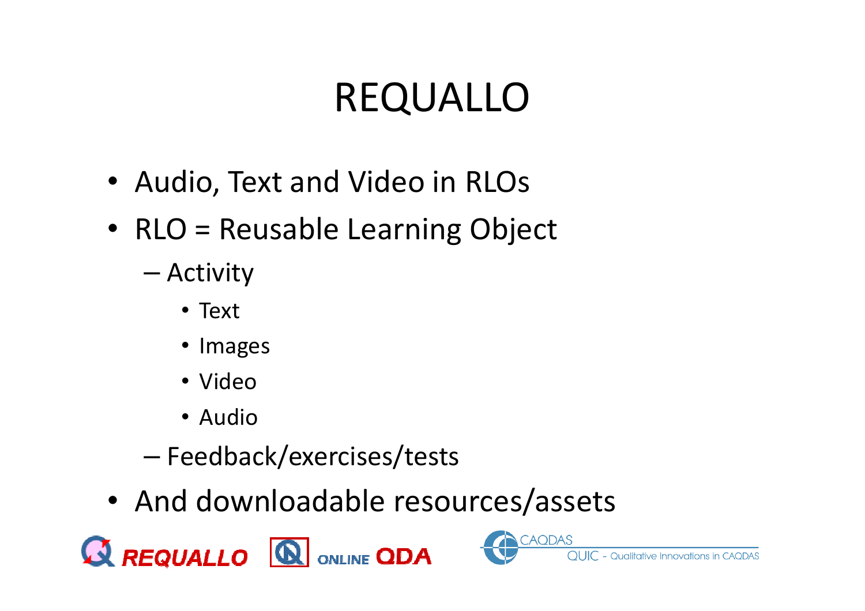# REQUALLO

- Audio, Text and Video in RLOs
- RLO = Reusable Learning Object
	- –— Activity
		- Text
		- Images
		- Video
		- Audio
	- –Feedback/exercises/tests
- And downloadable resources/assets

**CAQDAS** 

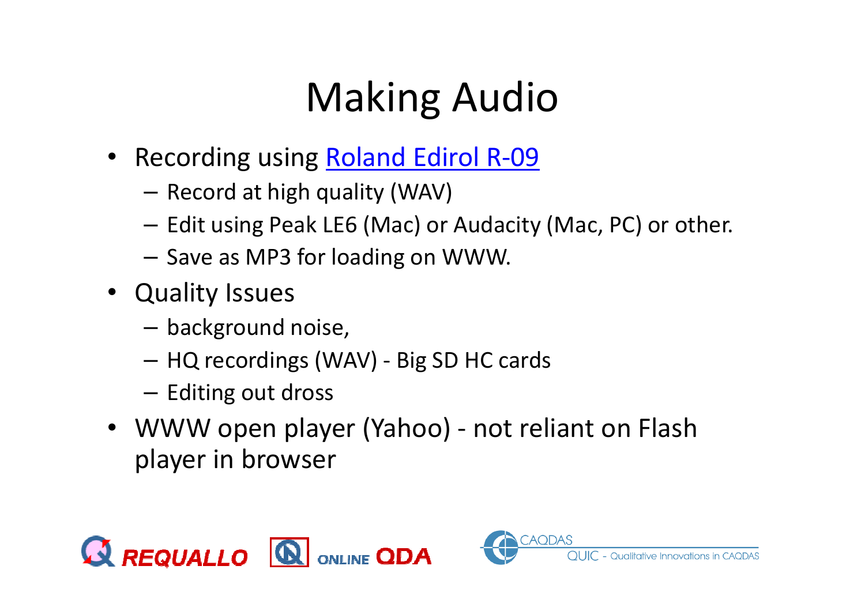# Making Audio

- Recording using **Roland Edirol R-09** 
	- – $-$  Record at high quality (WAV)
	- – $-$  Edit using Peak LE6 (Mac) or Audacity (Mac, PC) or other.
	- – $-$  Save as MP3 for loading on WWW.
- Quality Issues
	- –background noise,
	- –HQ recordings (WAV) - Big SD HC cards
	- – $-$  Editing out dross
- WWW open player (Yahoo) not reliant on Flash player in browser



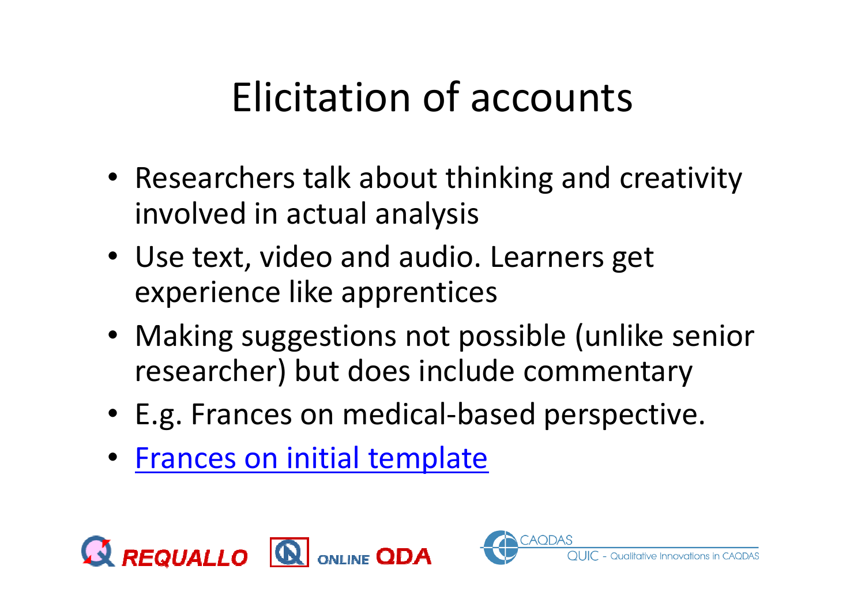#### Elicitation of accounts

- Researchers talk about thinking and creativity involved in actual analysis
- Use text, video and audio. Learners get experience like apprentices
- Making suggestions not possible (unlike senior researcher) but does include commentary
- E.g. Frances on medical-based perspective.
- Frances on initial template



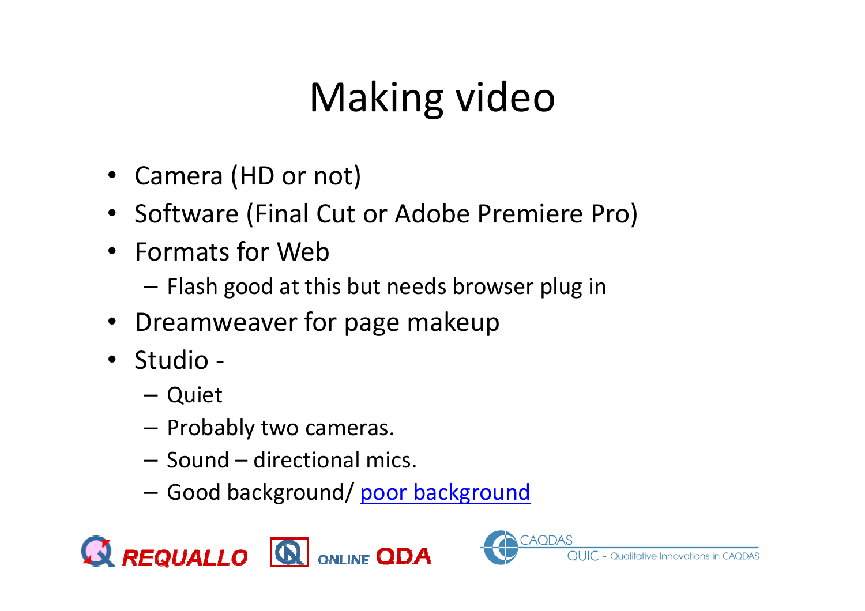# Making video

- Camera (HD or not)
- Software (Final Cut or Adobe Premiere Pro)
- Formats for Web
	- – $-$  Flash good at this but needs browser plug in
- Dreamweaver for page makeup
- Studio
	- –– Quiet
	- – $-$  Probably two cameras.
	- – $-$  Sound  $-$  directional mics.
	- –— Good background/ <u>poor background</u>



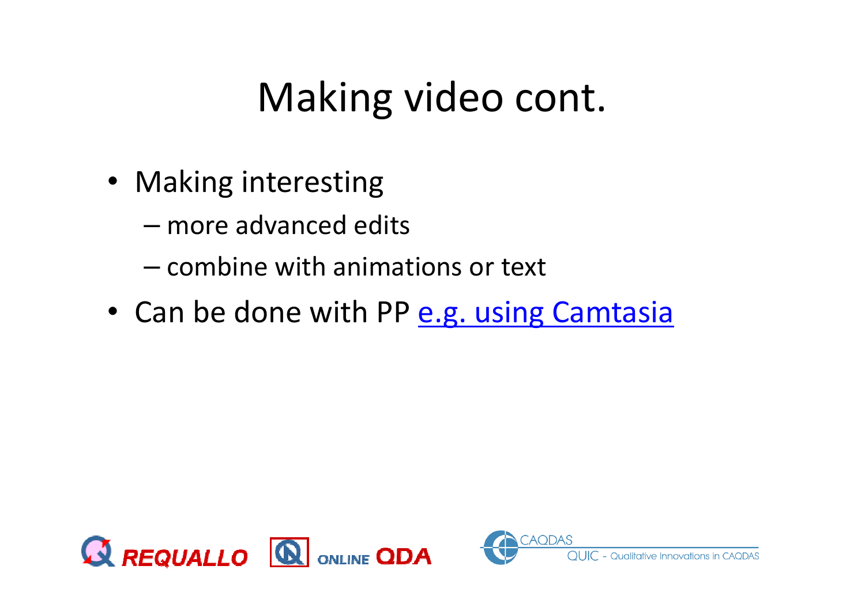#### Making video cont.

- Making interesting
	- –— more advanced edits
	- – $-$  combine with animations or text
- Can be done with PP **e.g. using Camtasia**



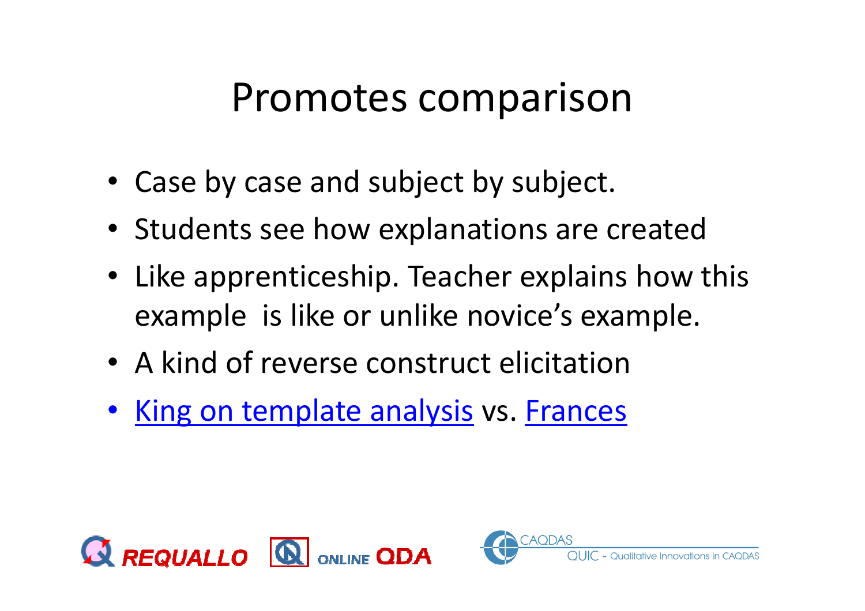#### Promotes comparison

- Case by case and subject by subject.
- Students see how explanations are created
- Like apprenticeship. Teacher explains how this example is like or unlike novice's example.
- A kind of reverse construct elicitation
- King on template analysis vs. Frances



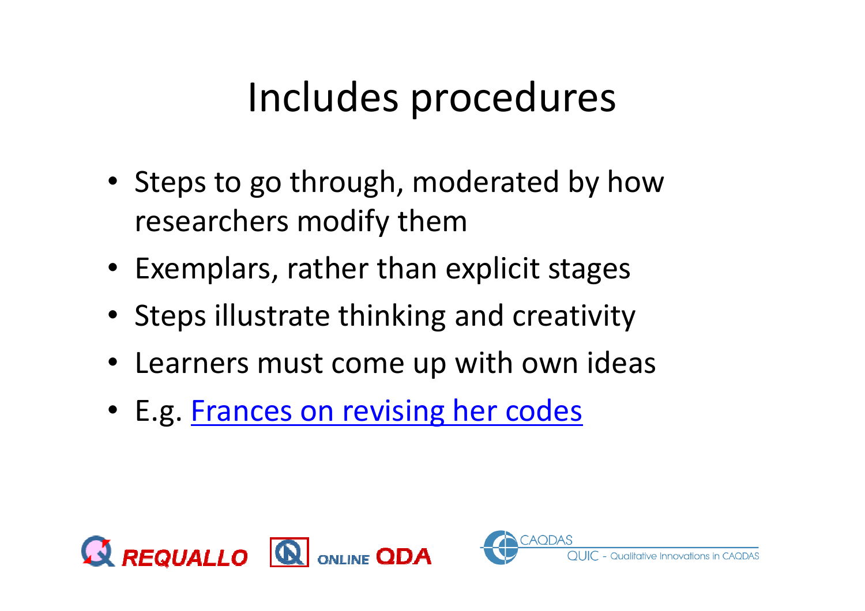#### Includes procedures

- Steps to go through, moderated by how researchers modify them
- Exemplars, rather than explicit stages
- Steps illustrate thinking and creativity
- Learners must come up with own ideas
- E.g. Frances on revising her codes



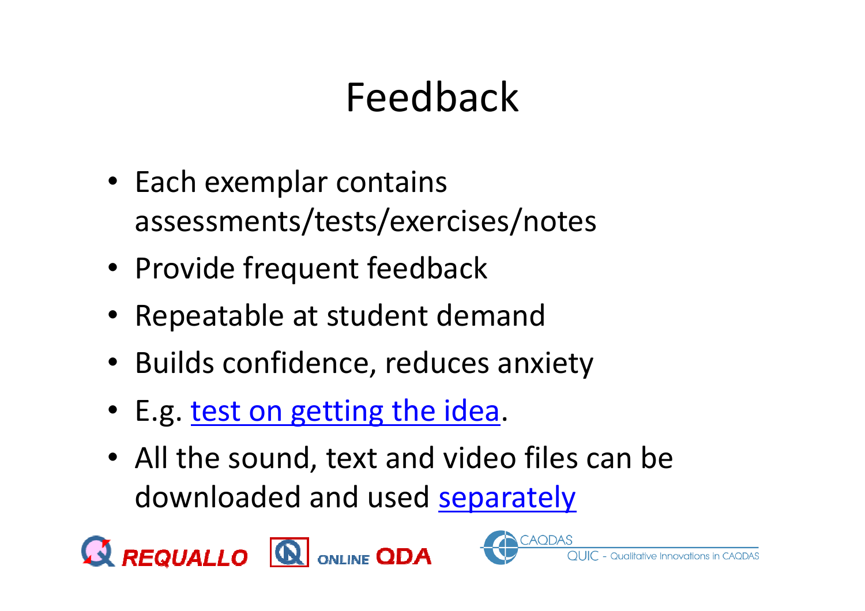# Feedback

- Each exemplar contains assessments/tests/exercises/notes
- Provide frequent feedback
- Repeatable at student demand
- Builds confidence, reduces anxiety
- E.g. <u>test on getting the idea</u>.
- All the sound, text and video files can be downloaded and used separately



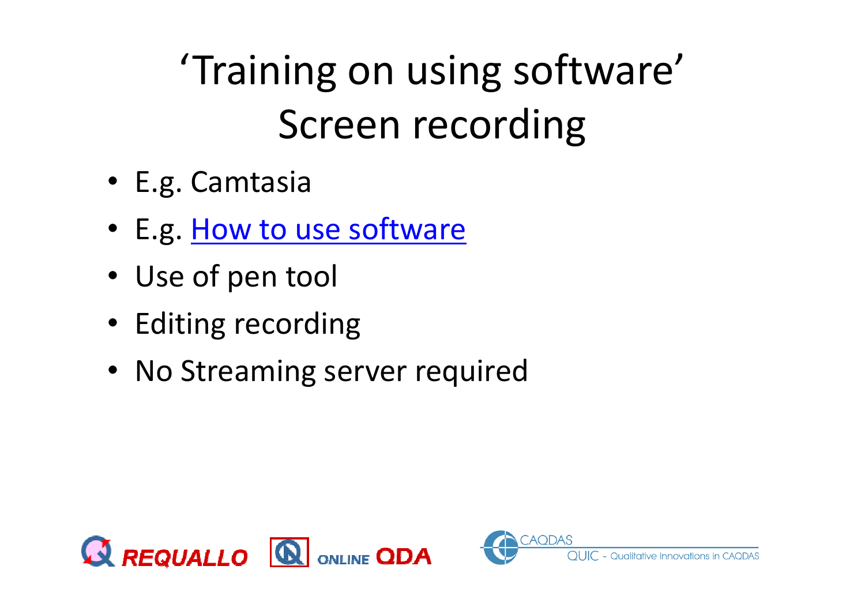# 'Training on using software'Screen recording

- E.g. Camtasia
- E.g. <u>How to use software</u>
- Use of pen tool
- Editing recording
- No Streaming server required



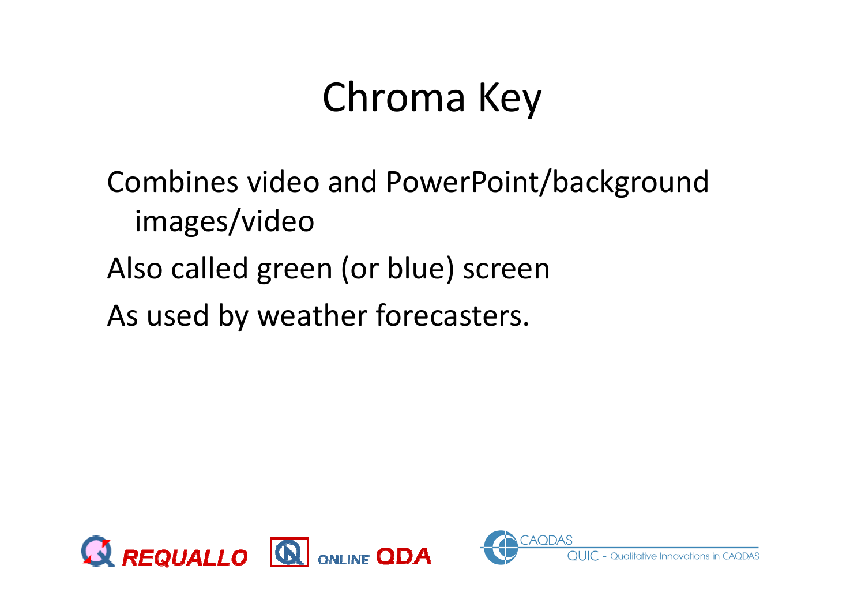### Chroma Key

Combines video and PowerPoint/background images/videoAlso called green (or blue) screenAs used by weather forecasters.



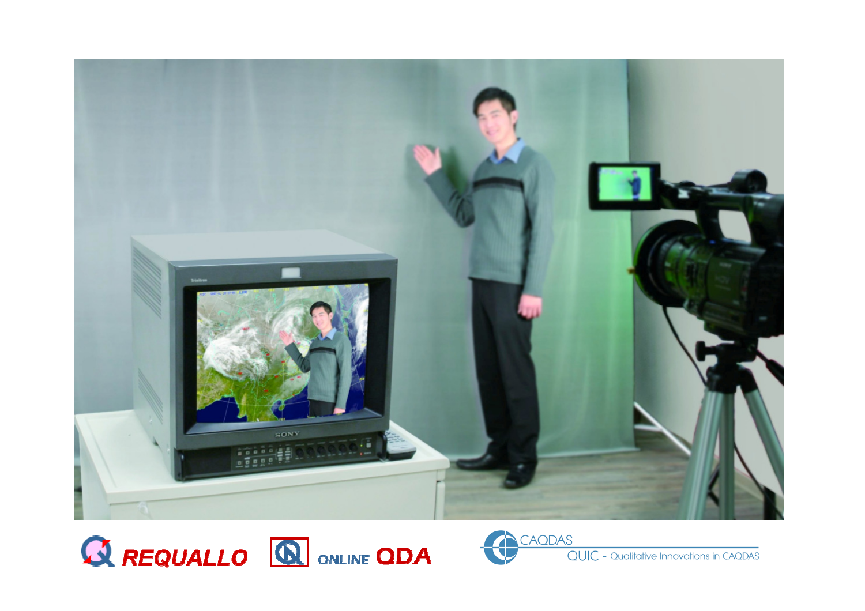



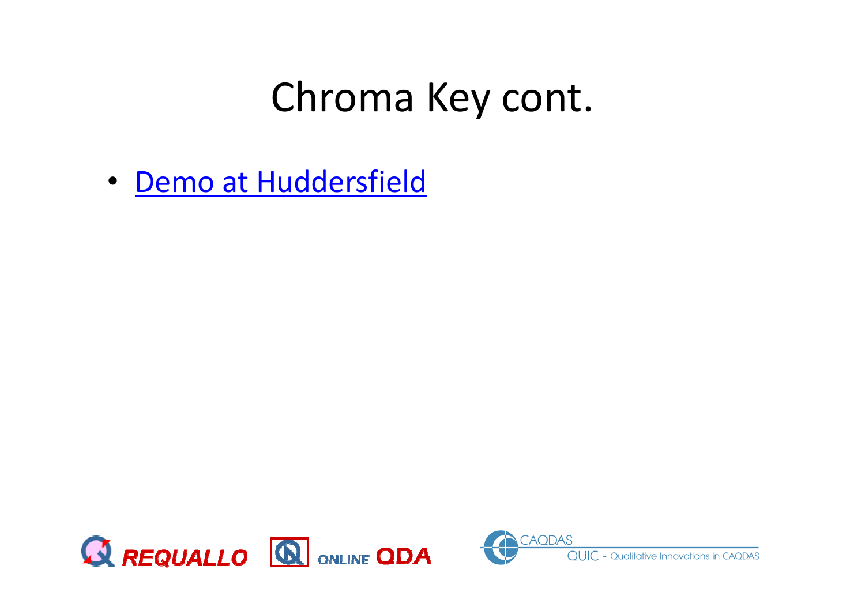#### Chroma Key cont.

• <u>Demo at Huddersfield</u>



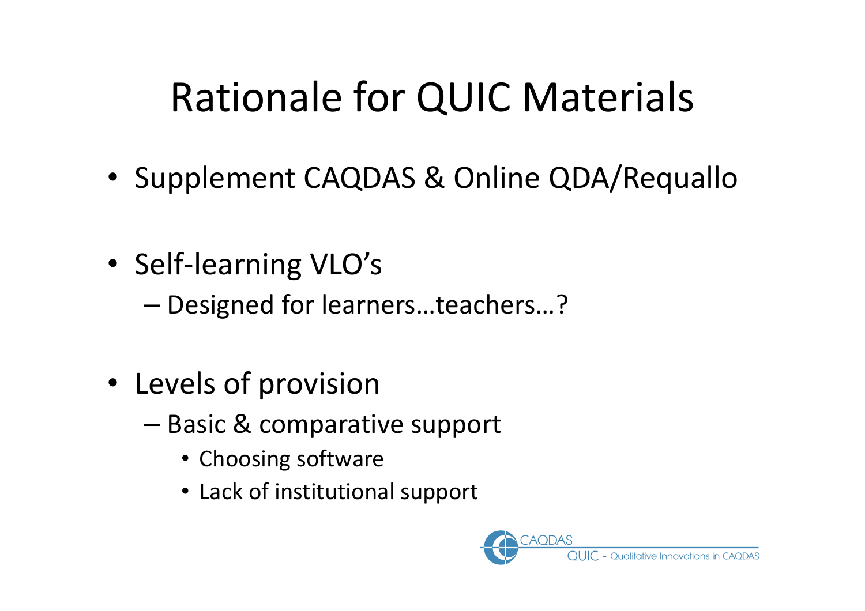#### Rationale for QUIC Materials

- Supplement CAQDAS & Online QDA/Requallo
- Self-learning VLO's
	- –Designed for learners…teachers…?
- Levels of provision
	- –— Basic & comparative support
		- Choosing software
		- Lack of institutional support

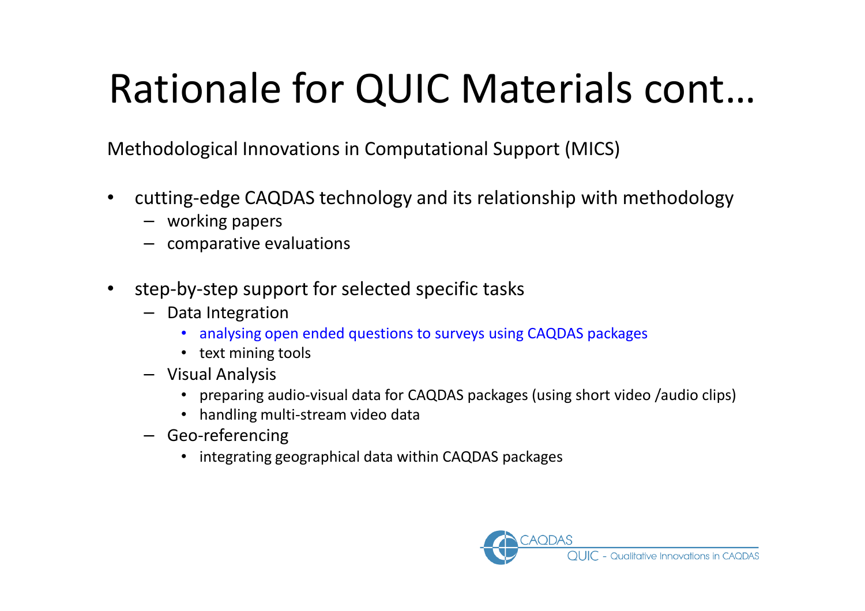# Rationale for QUIC Materials cont…

Methodological Innovations in Computational Support (MICS)

- $\bullet$  cutting-edge CAQDAS technology and its relationship with methodology
	- working papers
	- comparative evaluations
- $\bullet$  step-by-step support for selected specific tasks
	- Data Integration
		- analysing open ended questions to surveys using CAQDAS packages
		- text mining tools
	- Visual Analysis
		- preparing audio-visual data for CAQDAS packages (using short video /audio clips)
		- handling multi-stream video data
	- Geo-referencing
		- integrating geographical data within CAQDAS packages